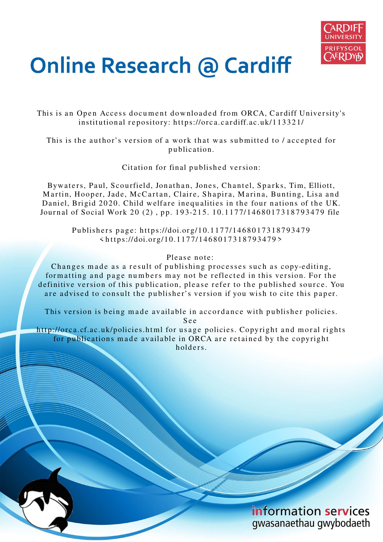

# **Online Research @ Cardiff**

This is an Open Access document downloaded from ORCA, Cardiff University's institutional repository: https://orca.cardiff.ac.uk/113321/

This is the author's version of a work that was submitted to / accepted for p u blication.

Citation for final published version:

Bywaters, Paul, Scourfield, Jonathan, Jones, Chantel, Sparks, Tim, Elliott, Martin, Hooper, Jade, McCartan, Claire, Shapira, Marina, Bunting, Lisa and Daniel, Brigid 2020. Child welfare inequalities in the four nations of the UK. Journal of Social Work 20 (2), pp. 193-215. 10.1177/1468017318793479 file

Publishers page: https://doi.org/10.1177/1468017318793479 < h t t p s://doi.org/10.11 7 7/146 8 0 1 7 3 1 8 7 9 3 4 7 9 >

Please note:

Changes made as a result of publishing processes such as copy-editing, formatting and page numbers may not be reflected in this version. For the definitive version of this publication, please refer to the published source. You are advised to consult the publisher's version if you wish to cite this paper.

This version is being made available in accordance with publisher policies.

S e e

http://orca.cf.ac.uk/policies.html for usage policies. Copyright and moral rights for publications made available in ORCA are retained by the copyright holders



information services gwasanaethau gwybodaeth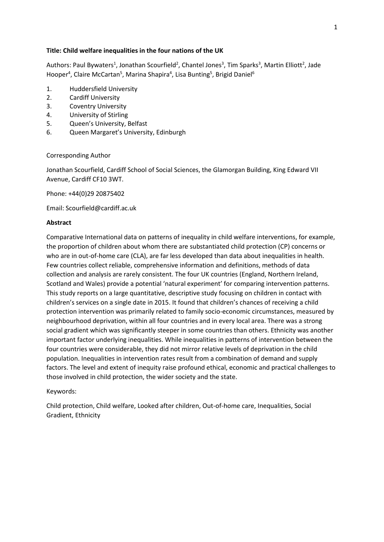## **Title: Child welfare inequalities in the four nations of the UK**

Authors: Paul Bywaters<sup>1</sup>, Jonathan Scourfield<sup>2</sup>, Chantel Jones<sup>3</sup>, Tim Sparks<sup>3</sup>, Martin Elliott<sup>2</sup>, Jade Hooper<sup>4</sup>, Claire McCartan<sup>5</sup>, Marina Shapira<sup>4</sup>, Lisa Bunting<sup>5</sup>, Brigid Daniel<sup>6</sup>

- 1. Huddersfield University
- 2. Cardiff University
- 3. Coventry University
- 4. University of Stirling
- 5. Queen's University, Belfast
- 6. Queen Margaret's University, Edinburgh

# Corresponding Author

Jonathan Scourfield, Cardiff School of Social Sciences, the Glamorgan Building, King Edward VII Avenue, Cardiff CF10 3WT.

Phone: +44(0)29 20875402

Email: Scourfield@cardiff.ac.uk

# **Abstract**

Comparative International data on patterns of inequality in child welfare interventions, for example, the proportion of children about whom there are substantiated child protection (CP) concerns or who are in out-of-home care (CLA), are far less developed than data about inequalities in health. Few countries collect reliable, comprehensive information and definitions, methods of data collection and analysis are rarely consistent. The four UK countries (England, Northern Ireland, Scotland and Wales) provide a potential 'natural experiment' for comparing intervention patterns. This study reports on a large quantitative, descriptive study focusing on children in contact with children's services on a single date in 2015. It found that children's chances of receiving a child protection intervention was primarily related to family socio-economic circumstances, measured by neighbourhood deprivation, within all four countries and in every local area. There was a strong social gradient which was significantly steeper in some countries than others. Ethnicity was another important factor underlying inequalities. While inequalities in patterns of intervention between the four countries were considerable, they did not mirror relative levels of deprivation in the child population. Inequalities in intervention rates result from a combination of demand and supply factors. The level and extent of inequity raise profound ethical, economic and practical challenges to those involved in child protection, the wider society and the state.

# Keywords:

Child protection, Child welfare, Looked after children, Out-of-home care, Inequalities, Social Gradient, Ethnicity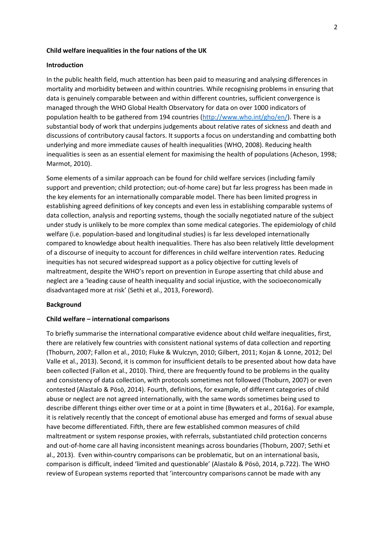#### **Child welfare inequalities in the four nations of the UK**

#### **Introduction**

In the public health field, much attention has been paid to measuring and analysing differences in mortality and morbidity between and within countries. While recognising problems in ensuring that data is genuinely comparable between and within different countries, sufficient convergence is managed through the WHO Global Health Observatory for data on over 1000 indicators of population health to be gathered from 194 countries [\(http://www.who.int/gho/en/\)](http://www.who.int/gho/en/). There is a substantial body of work that underpins judgements about relative rates of sickness and death and discussions of contributory causal factors. It supports a focus on understanding and combatting both underlying and more immediate causes of health inequalities (WHO, 2008). Reducing health inequalities is seen as an essential element for maximising the health of populations (Acheson, 1998; Marmot, 2010).

Some elements of a similar approach can be found for child welfare services (including family support and prevention; child protection; out-of-home care) but far less progress has been made in the key elements for an internationally comparable model. There has been limited progress in establishing agreed definitions of key concepts and even less in establishing comparable systems of data collection, analysis and reporting systems, though the socially negotiated nature of the subject under study is unlikely to be more complex than some medical categories. The epidemiology of child welfare (i.e. population-based and longitudinal studies) is far less developed internationally compared to knowledge about health inequalities. There has also been relatively little development of a discourse of inequity to account for differences in child welfare intervention rates. Reducing inequities has not secured widespread support as a policy objective for cutting levels of maltreatment, despite the WHO's report on prevention in Europe asserting that child abuse and neglect are a 'leading cause of health inequality and social injustice, with the socioeconomically disadvantaged more at risk' (Sethi et al., 2013, Foreword).

#### **Background**

#### **Child welfare – international comparisons**

To briefly summarise the international comparative evidence about child welfare inequalities, first, there are relatively few countries with consistent national systems of data collection and reporting (Thoburn, 2007; Fallon et al., 2010; Fluke & Wulczyn, 2010; Gilbert, 2011; Kojan & Lonne, 2012; Del Valle et al., 2013). Second, it is common for insufficient details to be presented about how data have been collected (Fallon et al., 2010). Third, there are frequently found to be problems in the quality and consistency of data collection, with protocols sometimes not followed (Thoburn, 2007) or even contested (Alastalo & Pösö, 2014). Fourth, definitions, for example, of different categories of child abuse or neglect are not agreed internationally, with the same words sometimes being used to describe different things either over time or at a point in time (Bywaters et al., 2016a). For example, it is relatively recently that the concept of emotional abuse has emerged and forms of sexual abuse have become differentiated. Fifth, there are few established common measures of child maltreatment or system response proxies, with referrals, substantiated child protection concerns and out-of-home care all having inconsistent meanings across boundaries (Thoburn, 2007; Sethi et al., 2013). Even within-country comparisons can be problematic, but on an international basis, comparison is difficult, indeed 'limited and questionable' (Alastalo & Pösö, 2014, p.722). The WHO review of European systems reported that 'intercountry comparisons cannot be made with any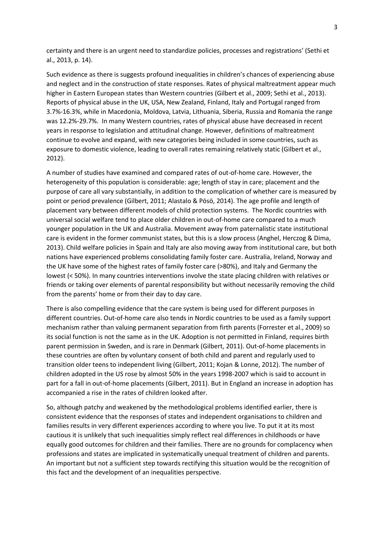certainty and there is an urgent need to standardize policies, processes and registrations' (Sethi et al., 2013, p. 14).

Such evidence as there is suggests profound inequalities in children's chances of experiencing abuse and neglect and in the construction of state responses. Rates of physical maltreatment appear much higher in Eastern European states than Western countries (Gilbert et al., 2009; Sethi et al., 2013). Reports of physical abuse in the UK, USA, New Zealand, Finland, Italy and Portugal ranged from 3.7%-16.3%, while in Macedonia, Moldova, Latvia, Lithuania, Siberia, Russia and Romania the range was 12.2%-29.7%. In many Western countries, rates of physical abuse have decreased in recent years in response to legislation and attitudinal change. However, definitions of maltreatment continue to evolve and expand, with new categories being included in some countries, such as exposure to domestic violence, leading to overall rates remaining relatively static (Gilbert et al., 2012).

A number of studies have examined and compared rates of out-of-home care. However, the heterogeneity of this population is considerable: age; length of stay in care; placement and the purpose of care all vary substantially, in addition to the complication of whether care is measured by point or period prevalence (Gilbert, 2011; Alastalo & Pösö, 2014). The age profile and length of placement vary between different models of child protection systems. The Nordic countries with universal social welfare tend to place older children in out-of-home care compared to a much younger population in the UK and Australia. Movement away from paternalistic state institutional care is evident in the former communist states, but this is a slow process (Anghel, Herczog & Dima, 2013). Child welfare policies in Spain and Italy are also moving away from institutional care, but both nations have experienced problems consolidating family foster care. Australia, Ireland, Norway and the UK have some of the highest rates of family foster care (>80%), and Italy and Germany the lowest (< 50%). In many countries interventions involve the state placing children with relatives or friends or taking over elements of parental responsibility but without necessarily removing the child from the parents' home or from their day to day care.

There is also compelling evidence that the care system is being used for different purposes in different countries. Out-of-home care also tends in Nordic countries to be used as a family support mechanism rather than valuing permanent separation from firth parents (Forrester et al., 2009) so its social function is not the same as in the UK. Adoption is not permitted in Finland, requires birth parent permission in Sweden, and is rare in Denmark (Gilbert, 2011). Out-of-home placements in these countries are often by voluntary consent of both child and parent and regularly used to transition older teens to independent living (Gilbert, 2011; Kojan & Lonne, 2012). The number of children adopted in the US rose by almost 50% in the years 1998-2007 which is said to account in part for a fall in out-of-home placements (Gilbert, 2011). But in England an increase in adoption has accompanied a rise in the rates of children looked after.

So, although patchy and weakened by the methodological problems identified earlier, there is consistent evidence that the responses of states and independent organisations to children and families results in very different experiences according to where you live. To put it at its most cautious it is unlikely that such inequalities simply reflect real differences in childhoods or have equally good outcomes for children and their families. There are no grounds for complacency when professions and states are implicated in systematically unequal treatment of children and parents. An important but not a sufficient step towards rectifying this situation would be the recognition of this fact and the development of an inequalities perspective.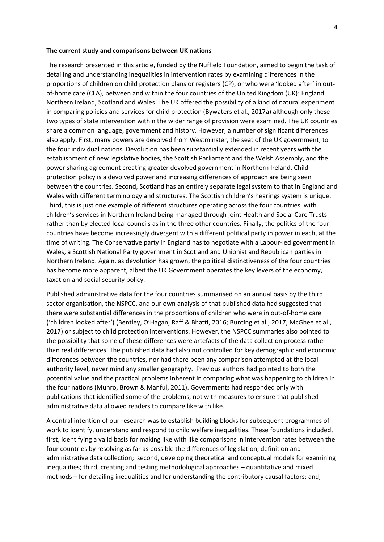#### **The current study and comparisons between UK nations**

The research presented in this article, funded by the Nuffield Foundation, aimed to begin the task of detailing and understanding inequalities in intervention rates by examining differences in the proportions of children on child protection plans or registers (CP), or who were 'looked after' in outof-home care (CLA), between and within the four countries of the United Kingdom (UK): England, Northern Ireland, Scotland and Wales. The UK offered the possibility of a kind of natural experiment in comparing policies and services for child protection (Bywaters et al., 2017a) although only these two types of state intervention within the wider range of provision were examined. The UK countries share a common language, government and history. However, a number of significant differences also apply. First, many powers are devolved from Westminster, the seat of the UK government, to the four individual nations. Devolution has been substantially extended in recent years with the establishment of new legislative bodies, the Scottish Parliament and the Welsh Assembly, and the power sharing agreement creating greater devolved government in Northern Ireland. Child protection policy is a devolved power and increasing differences of approach are being seen between the countries. Second, Scotland has an entirely separate legal system to that in England and Wales with different terminology and structures. The Scottish children's hearings system is unique. Third, this is just one example of different structures operating across the four countries, with children's services in Northern Ireland being managed through joint Health and Social Care Trusts rather than by elected local councils as in the three other countries. Finally, the politics of the four countries have become increasingly divergent with a different political party in power in each, at the time of writing. The Conservative party in England has to negotiate with a Labour-led government in Wales, a Scottish National Party government in Scotland and Unionist and Republican parties in Northern Ireland. Again, as devolution has grown, the political distinctiveness of the four countries has become more apparent, albeit the UK Government operates the key levers of the economy, taxation and social security policy.

Published administrative data for the four countries summarised on an annual basis by the third sector organisation, the NSPCC, and our own analysis of that published data had suggested that there were substantial differences in the proportions of children who were in out-of-home care ('children looked after') (Bentley, O'Hagan, Raff & Bhatti, 2016; Bunting et al., 2017; McGhee et al., 2017) or subject to child protection interventions. However, the NSPCC summaries also pointed to the possibility that some of these differences were artefacts of the data collection process rather than real differences. The published data had also not controlled for key demographic and economic differences between the countries, nor had there been any comparison attempted at the local authority level, never mind any smaller geography. Previous authors had pointed to both the potential value and the practical problems inherent in comparing what was happening to children in the four nations (Munro, Brown & Manful, 2011). Governments had responded only with publications that identified some of the problems, not with measures to ensure that published administrative data allowed readers to compare like with like.

A central intention of our research was to establish building blocks for subsequent programmes of work to identify, understand and respond to child welfare inequalities. These foundations included, first, identifying a valid basis for making like with like comparisons in intervention rates between the four countries by resolving as far as possible the differences of legislation, definition and administrative data collection; second, developing theoretical and conceptual models for examining inequalities; third, creating and testing methodological approaches – quantitative and mixed methods – for detailing inequalities and for understanding the contributory causal factors; and,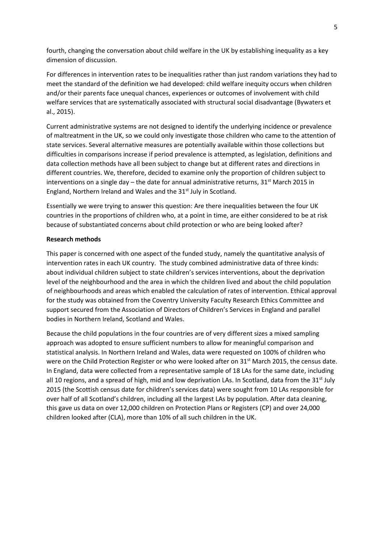fourth, changing the conversation about child welfare in the UK by establishing inequality as a key dimension of discussion.

For differences in intervention rates to be inequalities rather than just random variations they had to meet the standard of the definition we had developed: child welfare inequity occurs when children and/or their parents face unequal chances, experiences or outcomes of involvement with child welfare services that are systematically associated with structural social disadvantage (Bywaters et al., 2015).

Current administrative systems are not designed to identify the underlying incidence or prevalence of maltreatment in the UK, so we could only investigate those children who came to the attention of state services. Several alternative measures are potentially available within those collections but difficulties in comparisons increase if period prevalence is attempted, as legislation, definitions and data collection methods have all been subject to change but at different rates and directions in different countries. We, therefore, decided to examine only the proportion of children subject to interventions on a single day – the date for annual administrative returns,  $31^{st}$  March 2015 in England, Northern Ireland and Wales and the  $31<sup>st</sup>$  July in Scotland.

Essentially we were trying to answer this question: Are there inequalities between the four UK countries in the proportions of children who, at a point in time, are either considered to be at risk because of substantiated concerns about child protection or who are being looked after?

#### **Research methods**

This paper is concerned with one aspect of the funded study, namely the quantitative analysis of intervention rates in each UK country. The study combined administrative data of three kinds: about individual children subject to state children's services interventions, about the deprivation level of the neighbourhood and the area in which the children lived and about the child population of neighbourhoods and areas which enabled the calculation of rates of intervention. Ethical approval for the study was obtained from the Coventry University Faculty Research Ethics Committee and support secured from the Association of Directors of Children's Services in England and parallel bodies in Northern Ireland, Scotland and Wales.

Because the child populations in the four countries are of very different sizes a mixed sampling approach was adopted to ensure sufficient numbers to allow for meaningful comparison and statistical analysis. In Northern Ireland and Wales, data were requested on 100% of children who were on the Child Protection Register or who were looked after on 31<sup>st</sup> March 2015, the census date. In England, data were collected from a representative sample of 18 LAs for the same date, including all 10 regions, and a spread of high, mid and low deprivation LAs. In Scotland, data from the  $31<sup>st</sup>$  July 2015 (the Scottish census date for children's services data) were sought from 10 LAs responsible for over half of all Scotland's children, including all the largest LAs by population. After data cleaning, this gave us data on over 12,000 children on Protection Plans or Registers (CP) and over 24,000 children looked after (CLA), more than 10% of all such children in the UK.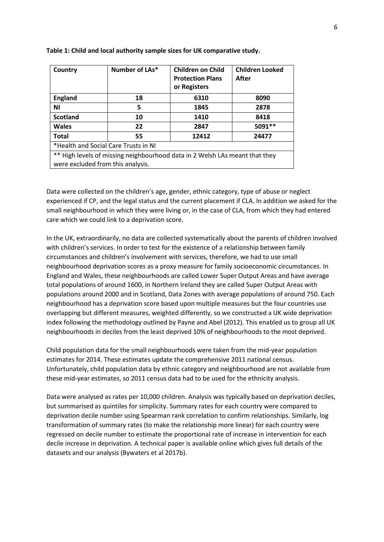| Country                                                                                                          | Number of LAs* | <b>Children on Child</b><br><b>Protection Plans</b><br>or Registers | <b>Children Looked</b><br>After |  |  |  |
|------------------------------------------------------------------------------------------------------------------|----------------|---------------------------------------------------------------------|---------------------------------|--|--|--|
| <b>England</b>                                                                                                   | 18             | 6310                                                                | 8090                            |  |  |  |
| ΝI                                                                                                               | 5              | 1845                                                                | 2878                            |  |  |  |
| <b>Scotland</b>                                                                                                  | 10             | 1410                                                                | 8418                            |  |  |  |
| <b>Wales</b>                                                                                                     | 22             | 2847                                                                | 5091**                          |  |  |  |
| Total                                                                                                            | 55             | 12412                                                               | 24477                           |  |  |  |
| *Health and Social Care Trusts in NI                                                                             |                |                                                                     |                                 |  |  |  |
| ** High levels of missing neighbourhood data in 2 Welsh LAs meant that they<br>were excluded from this analysis. |                |                                                                     |                                 |  |  |  |

**Table 1: Child and local authority sample sizes for UK comparative study.** 

Data were collected on the children's age, gender, ethnic category, type of abuse or neglect experienced if CP, and the legal status and the current placement if CLA. In addition we asked for the small neighbourhood in which they were living or, in the case of CLA, from which they had entered care which we could link to a deprivation score.

In the UK, extraordinarily, no data are collected systematically about the parents of children involved with children's services. In order to test for the existence of a relationship between family circumstances and children's involvement with services, therefore, we had to use small neighbourhood deprivation scores as a proxy measure for family socioeconomic circumstances. In England and Wales, these neighbourhoods are called Lower Super Output Areas and have average total populations of around 1600, in Northern Ireland they are called Super Output Areas with populations around 2000 and in Scotland, Data Zones with average populations of around 750. Each neighbourhood has a deprivation score based upon multiple measures but the four countries use overlapping but different measures, weighted differently, so we constructed a UK wide deprivation index following the methodology outlined by Payne and Abel (2012). This enabled us to group all UK neighbourhoods in deciles from the least deprived 10% of neighbourhoods to the most deprived.

Child population data for the small neighbourhoods were taken from the mid-year population estimates for 2014. These estimates update the comprehensive 2011 national census. Unfortunately, child population data by ethnic category and neighbourhood are not available from these mid-year estimates, so 2011 census data had to be used for the ethnicity analysis.

Data were analysed as rates per 10,000 children. Analysis was typically based on deprivation deciles, but summarised as quintiles for simplicity. Summary rates for each country were compared to deprivation decile number using Spearman rank correlation to confirm relationships. Similarly, log transformation of summary rates (to make the relationship more linear) for each country were regressed on decile number to estimate the proportional rate of increase in intervention for each decile increase in deprivation. A technical paper is available online which gives full details of the datasets and our analysis (Bywaters et al 2017b).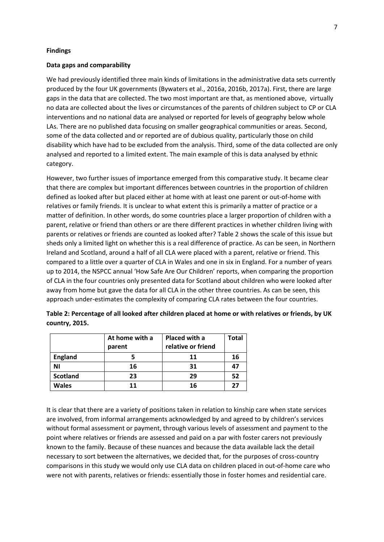#### **Findings**

#### **Data gaps and comparability**

We had previously identified three main kinds of limitations in the administrative data sets currently produced by the four UK governments (Bywaters et al., 2016a, 2016b, 2017a). First, there are large gaps in the data that are collected. The two most important are that, as mentioned above, virtually no data are collected about the lives or circumstances of the parents of children subject to CP or CLA interventions and no national data are analysed or reported for levels of geography below whole LAs. There are no published data focusing on smaller geographical communities or areas. Second, some of the data collected and or reported are of dubious quality, particularly those on child disability which have had to be excluded from the analysis. Third, some of the data collected are only analysed and reported to a limited extent. The main example of this is data analysed by ethnic category.

However, two further issues of importance emerged from this comparative study. It became clear that there are complex but important differences between countries in the proportion of children defined as looked after but placed either at home with at least one parent or out-of-home with relatives or family friends. It is unclear to what extent this is primarily a matter of practice or a matter of definition. In other words, do some countries place a larger proportion of children with a parent, relative or friend than others or are there different practices in whether children living with parents or relatives or friends are counted as looked after? Table 2 shows the scale of this issue but sheds only a limited light on whether this is a real difference of practice. As can be seen, in Northern Ireland and Scotland, around a half of all CLA were placed with a parent, relative or friend. This compared to a little over a quarter of CLA in Wales and one in six in England. For a number of years up to 2014, the NSPCC annual 'How Safe Are Our Children' reports, when comparing the proportion of CLA in the four countries only presented data for Scotland about children who were looked after away from home but gave the data for all CLA in the other three countries. As can be seen, this approach under-estimates the complexity of comparing CLA rates between the four countries.

|                 | At home with a<br>parent | Placed with a<br>relative or friend | Total |
|-----------------|--------------------------|-------------------------------------|-------|
| <b>England</b>  |                          | 11                                  | 16    |
| ΝI              | 16                       | 31                                  |       |
| <b>Scotland</b> | 23                       | 29                                  | 52    |
| <b>Wales</b>    | 11                       | 16                                  | フフ    |

| Table 2: Percentage of all looked after children placed at home or with relatives or friends, by UK |  |  |
|-----------------------------------------------------------------------------------------------------|--|--|
| country, 2015.                                                                                      |  |  |

It is clear that there are a variety of positions taken in relation to kinship care when state services are involved, from informal arrangements acknowledged by and agreed to by children's services without formal assessment or payment, through various levels of assessment and payment to the point where relatives or friends are assessed and paid on a par with foster carers not previously known to the family. Because of these nuances and because the data available lack the detail necessary to sort between the alternatives, we decided that, for the purposes of cross-country comparisons in this study we would only use CLA data on children placed in out-of-home care who were not with parents, relatives or friends: essentially those in foster homes and residential care.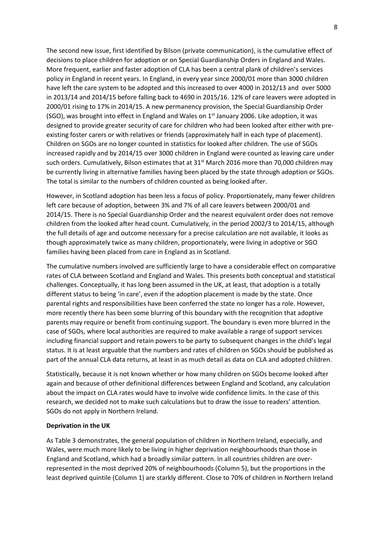The second new issue, first identified by Bilson (private communication), is the cumulative effect of decisions to place children for adoption or on Special Guardianship Orders in England and Wales. More frequent, earlier and faster adoption of CLA has been a central plank of children's services policy in England in recent years. In England, in every year since 2000/01 more than 3000 children have left the care system to be adopted and this increased to over 4000 in 2012/13 and over 5000 in 2013/14 and 2014/15 before falling back to 4690 in 2015/16. 12% of care leavers were adopted in 2000/01 rising to 17% in 2014/15. A new permanency provision, the Special Guardianship Order (SGO), was brought into effect in England and Wales on  $1<sup>st</sup>$  January 2006. Like adoption, it was designed to provide greater security of care for children who had been looked after either with preexisting foster carers or with relatives or friends (approximately half in each type of placement). Children on SGOs are no longer counted in statistics for looked after children. The use of SGOs increased rapidly and by 2014/15 over 3000 children in England were counted as leaving care under such orders. Cumulatively, Bilson estimates that at 31<sup>st</sup> March 2016 more than 70,000 children may be currently living in alternative families having been placed by the state through adoption or SGOs. The total is similar to the numbers of children counted as being looked after.

However, in Scotland adoption has been less a focus of policy. Proportionately, many fewer children left care because of adoption, between 3% and 7% of all care leavers between 2000/01 and 2014/15. There is no Special Guardianship Order and the nearest equivalent order does not remove children from the looked after head count. Cumulatively, in the period 2002/3 to 2014/15, although the full details of age and outcome necessary for a precise calculation are not available, it looks as though approximately twice as many children, proportionately, were living in adoptive or SGO families having been placed from care in England as in Scotland.

The cumulative numbers involved are sufficiently large to have a considerable effect on comparative rates of CLA between Scotland and England and Wales. This presents both conceptual and statistical challenges. Conceptually, it has long been assumed in the UK, at least, that adoption is a totally different status to being 'in care', even if the adoption placement is made by the state. Once parental rights and responsibilities have been conferred the state no longer has a role. However, more recently there has been some blurring of this boundary with the recognition that adoptive parents may require or benefit from continuing support. The boundary is even more blurred in the case of SGOs, where local authorities are required to make available a range of support services including financial support and retain powers to be party to subsequent changes in the child's legal status. It is at least arguable that the numbers and rates of children on SGOs should be published as part of the annual CLA data returns, at least in as much detail as data on CLA and adopted children.

Statistically, because it is not known whether or how many children on SGOs become looked after again and because of other definitional differences between England and Scotland, any calculation about the impact on CLA rates would have to involve wide confidence limits. In the case of this research, we decided not to make such calculations but to draw the issue to readers' attention. SGOs do not apply in Northern Ireland.

# **Deprivation in the UK**

As Table 3 demonstrates, the general population of children in Northern Ireland, especially, and Wales, were much more likely to be living in higher deprivation neighbourhoods than those in England and Scotland, which had a broadly similar pattern. In all countries children are overrepresented in the most deprived 20% of neighbourhoods (Column 5), but the proportions in the least deprived quintile (Column 1) are starkly different. Close to 70% of children in Northern Ireland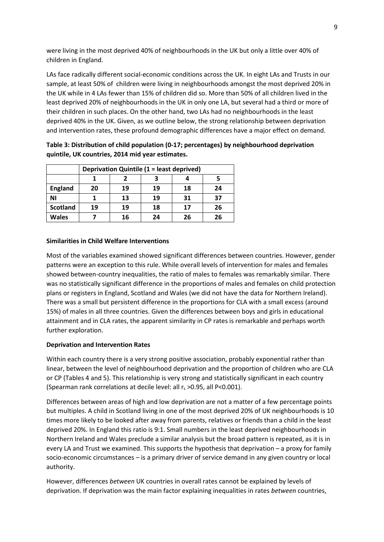were living in the most deprived 40% of neighbourhoods in the UK but only a little over 40% of children in England.

LAs face radically different social-economic conditions across the UK. In eight LAs and Trusts in our sample, at least 50% of children were living in neighbourhoods amongst the most deprived 20% in the UK while in 4 LAs fewer than 15% of children did so. More than 50% of all children lived in the least deprived 20% of neighbourhoods in the UK in only one LA, but several had a third or more of their children in such places. On the other hand, two LAs had no neighbourhoods in the least deprived 40% in the UK. Given, as we outline below, the strong relationship between deprivation and intervention rates, these profound demographic differences have a major effect on demand.

|                 |    | Deprivation Quintile (1 = least deprived) |    |    |    |  |  |  |
|-----------------|----|-------------------------------------------|----|----|----|--|--|--|
|                 |    | 3                                         |    |    |    |  |  |  |
| <b>England</b>  | 20 | 19                                        | 19 | 18 | 24 |  |  |  |
| ΝI              |    | 13                                        | 19 | 31 | 37 |  |  |  |
| <b>Scotland</b> | 19 | 19                                        | 18 | 17 | 26 |  |  |  |
| <b>Wales</b>    |    | 16                                        | 24 | 26 | 26 |  |  |  |

**Table 3: Distribution of child population (0-17; percentages) by neighbourhood deprivation quintile, UK countries, 2014 mid year estimates.** 

# **Similarities in Child Welfare Interventions**

Most of the variables examined showed significant differences between countries. However, gender patterns were an exception to this rule. While overall levels of intervention for males and females showed between-country inequalities, the ratio of males to females was remarkably similar. There was no statistically significant difference in the proportions of males and females on child protection plans or registers in England, Scotland and Wales (we did not have the data for Northern Ireland). There was a small but persistent difference in the proportions for CLA with a small excess (around 15%) of males in all three countries. Given the differences between boys and girls in educational attainment and in CLA rates, the apparent similarity in CP rates is remarkable and perhaps worth further exploration.

#### **Deprivation and Intervention Rates**

Within each country there is a very strong positive association, probably exponential rather than linear, between the level of neighbourhood deprivation and the proportion of children who are CLA or CP (Tables 4 and 5). This relationship is very strong and statistically significant in each country (Spearman rank correlations at decile level: all r<sub>s</sub> >0.95, all P<0.001).

Differences between areas of high and low deprivation are not a matter of a few percentage points but multiples. A child in Scotland living in one of the most deprived 20% of UK neighbourhoods is 10 times more likely to be looked after away from parents, relatives or friends than a child in the least deprived 20%. In England this ratio is 9:1. Small numbers in the least deprived neighbourhoods in Northern Ireland and Wales preclude a similar analysis but the broad pattern is repeated, as it is in every LA and Trust we examined. This supports the hypothesis that deprivation – a proxy for family socio-economic circumstances – is a primary driver of service demand in any given country or local authority.

However, differences *between* UK countries in overall rates cannot be explained by levels of deprivation. If deprivation was the main factor explaining inequalities in rates *between* countries,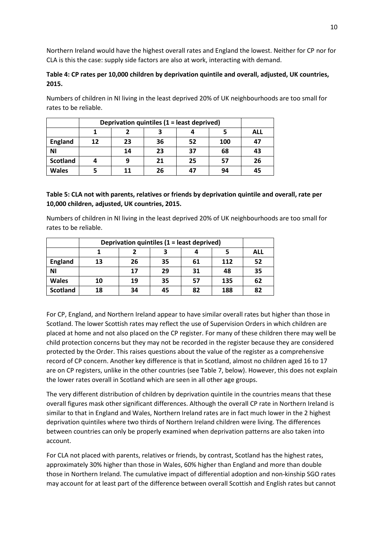Northern Ireland would have the highest overall rates and England the lowest. Neither for CP nor for CLA is this the case: supply side factors are also at work, interacting with demand.

# **Table 4: CP rates per 10,000 children by deprivation quintile and overall, adjusted, UK countries, 2015.**

Numbers of children in NI living in the least deprived 20% of UK neighbourhoods are too small for rates to be reliable.

|                 | Deprivation quintiles (1 = least deprived) |    |    |    |     |            |
|-----------------|--------------------------------------------|----|----|----|-----|------------|
|                 |                                            |    |    |    |     | <b>ALL</b> |
| <b>England</b>  | 12                                         | 23 | 36 | 52 | 100 | 47         |
| <b>NI</b>       |                                            | 14 | 23 | 37 | 68  | 43         |
| <b>Scotland</b> |                                            |    | 21 | 25 | 57  | 26         |
| <b>Wales</b>    |                                            | 11 | 26 | 47 | 94  |            |

# **Table 5: CLA not with parents, relatives or friends by deprivation quintile and overall, rate per 10,000 children, adjusted, UK countries, 2015.**

Numbers of children in NI living in the least deprived 20% of UK neighbourhoods are too small for rates to be reliable.

|                 | Deprivation quintiles (1 = least deprived) |    |    |    |     |     |
|-----------------|--------------------------------------------|----|----|----|-----|-----|
|                 |                                            |    |    |    |     | ALL |
| <b>England</b>  | 13                                         | 26 | 35 | 61 | 112 | 52  |
| ΝI              |                                            | 17 | 29 | 31 | 48  | 35  |
| <b>Wales</b>    | 10                                         | 19 | 35 | 57 | 135 | 62  |
| <b>Scotland</b> | 18                                         | 34 | 45 | 82 | 188 | 82  |

For CP, England, and Northern Ireland appear to have similar overall rates but higher than those in Scotland. The lower Scottish rates may reflect the use of Supervision Orders in which children are placed at home and not also placed on the CP register. For many of these children there may well be child protection concerns but they may not be recorded in the register because they are considered protected by the Order. This raises questions about the value of the register as a comprehensive record of CP concern. Another key difference is that in Scotland, almost no children aged 16 to 17 are on CP registers, unlike in the other countries (see Table 7, below). However, this does not explain the lower rates overall in Scotland which are seen in all other age groups.

The very different distribution of children by deprivation quintile in the countries means that these overall figures mask other significant differences. Although the overall CP rate in Northern Ireland is similar to that in England and Wales, Northern Ireland rates are in fact much lower in the 2 highest deprivation quintiles where two thirds of Northern Ireland children were living. The differences between countries can only be properly examined when deprivation patterns are also taken into account.

For CLA not placed with parents, relatives or friends, by contrast, Scotland has the highest rates, approximately 30% higher than those in Wales, 60% higher than England and more than double those in Northern Ireland. The cumulative impact of differential adoption and non-kinship SGO rates may account for at least part of the difference between overall Scottish and English rates but cannot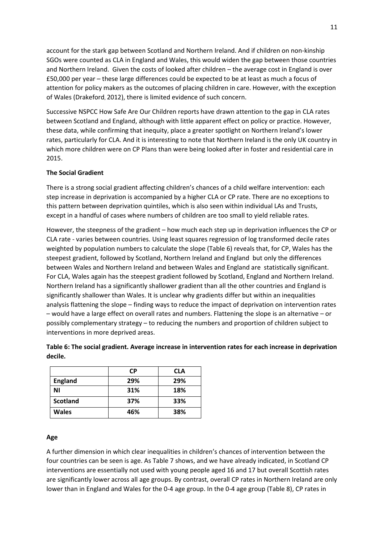account for the stark gap between Scotland and Northern Ireland. And if children on non-kinship SGOs were counted as CLA in England and Wales, this would widen the gap between those countries and Northern Ireland. Given the costs of looked after children – the average cost in England is over £50,000 per year – these large differences could be expected to be at least as much a focus of attention for policy makers as the outcomes of placing children in care. However, with the exception of Wales (Drakeford, 2012), there is limited evidence of such concern.

Successive NSPCC How Safe Are Our Children reports have drawn attention to the gap in CLA rates between Scotland and England, although with little apparent effect on policy or practice. However, these data, while confirming that inequity, place a greater spotlight on Northern Ireland's lower rates, particularly for CLA. And it is interesting to note that Northern Ireland is the only UK country in which more children were on CP Plans than were being looked after in foster and residential care in 2015.

# **The Social Gradient**

There is a strong social gradient affecting children's chances of a child welfare intervention: each step increase in deprivation is accompanied by a higher CLA or CP rate. There are no exceptions to this pattern between deprivation quintiles, which is also seen within individual LAs and Trusts, except in a handful of cases where numbers of children are too small to yield reliable rates.

However, the steepness of the gradient – how much each step up in deprivation influences the CP or CLA rate - varies between countries. Using least squares regression of log transformed decile rates weighted by population numbers to calculate the slope (Table 6) reveals that, for CP, Wales has the steepest gradient, followed by Scotland, Northern Ireland and England but only the differences between Wales and Northern Ireland and between Wales and England are statistically significant. For CLA, Wales again has the steepest gradient followed by Scotland, England and Northern Ireland. Northern Ireland has a significantly shallower gradient than all the other countries and England is significantly shallower than Wales. It is unclear why gradients differ but within an inequalities analysis flattening the slope – finding ways to reduce the impact of deprivation on intervention rates – would have a large effect on overall rates and numbers. Flattening the slope is an alternative – or possibly complementary strategy – to reducing the numbers and proportion of children subject to interventions in more deprived areas.

**Table 6: The social gradient. Average increase in intervention rates for each increase in deprivation decile.** 

|                 | СP  | <b>CLA</b> |
|-----------------|-----|------------|
| <b>England</b>  | 29% | 29%        |
| ΝI              | 31% | 18%        |
| <b>Scotland</b> | 37% | 33%        |
| <b>Wales</b>    | 46% | 38%        |

# **Age**

A further dimension in which clear inequalities in children's chances of intervention between the four countries can be seen is age. As Table 7 shows, and we have already indicated, in Scotland CP interventions are essentially not used with young people aged 16 and 17 but overall Scottish rates are significantly lower across all age groups. By contrast, overall CP rates in Northern Ireland are only lower than in England and Wales for the 0-4 age group. In the 0-4 age group (Table 8), CP rates in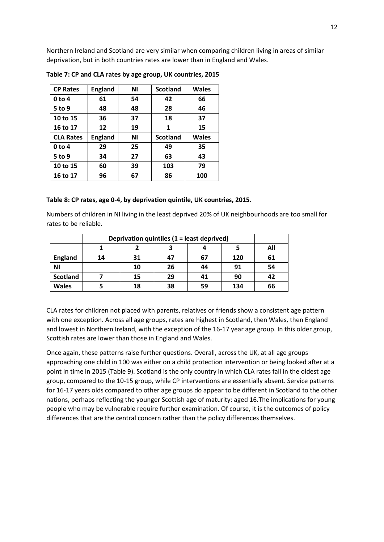Northern Ireland and Scotland are very similar when comparing children living in areas of similar deprivation, but in both countries rates are lower than in England and Wales.

| <b>CP Rates</b>   | <b>England</b> | ΝI | <b>Scotland</b> | <b>Wales</b> |
|-------------------|----------------|----|-----------------|--------------|
| 0 to 4            | 61             | 54 | 42              | 66           |
| 5 to 9            | 48             | 48 | 28              | 46           |
| 10 to 15          | 36             | 37 | 18              | 37           |
| 16 to 17          | 12             | 19 | 1               | 15           |
| <b>CLA Rates</b>  | <b>England</b> | ΝI | <b>Scotland</b> | <b>Wales</b> |
| 0 <sub>to 4</sub> | 29             | 25 | 49              | 35           |
| $5$ to 9          | 34             | 27 | 63              | 43           |
| 10 to 15          | 60             | 39 | 103             | 79           |
| 16 to 17          | 96             | 67 | 86              | 100          |

**Table 7: CP and CLA rates by age group, UK countries, 2015** 

# **Table 8: CP rates, age 0-4, by deprivation quintile, UK countries, 2015.**

Numbers of children in NI living in the least deprived 20% of UK neighbourhoods are too small for rates to be reliable.

|                 | Deprivation quintiles (1 = least deprived) |    |    |    |     |     |
|-----------------|--------------------------------------------|----|----|----|-----|-----|
|                 |                                            |    |    |    |     | All |
| <b>England</b>  | 14                                         | 31 | 47 | 67 | 120 | 61  |
| ΝI              |                                            | 10 | 26 | 44 | 91  | 54  |
| <b>Scotland</b> |                                            | 15 | 29 | 41 | 90  | 42  |
| <b>Wales</b>    |                                            | 18 | 38 | 59 | 134 | 66  |

CLA rates for children not placed with parents, relatives or friends show a consistent age pattern with one exception. Across all age groups, rates are highest in Scotland, then Wales, then England and lowest in Northern Ireland, with the exception of the 16-17 year age group. In this older group, Scottish rates are lower than those in England and Wales.

Once again, these patterns raise further questions. Overall, across the UK, at all age groups approaching one child in 100 was either on a child protection intervention or being looked after at a point in time in 2015 (Table 9). Scotland is the only country in which CLA rates fall in the oldest age group, compared to the 10-15 group, while CP interventions are essentially absent. Service patterns for 16-17 years olds compared to other age groups do appear to be different in Scotland to the other nations, perhaps reflecting the younger Scottish age of maturity: aged 16.The implications for young people who may be vulnerable require further examination. Of course, it is the outcomes of policy differences that are the central concern rather than the policy differences themselves.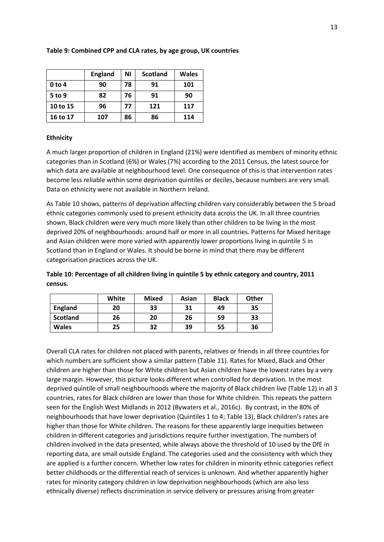|          | <b>England</b> | ΝI | <b>Scotland</b> | Wales |
|----------|----------------|----|-----------------|-------|
| $0$ to 4 | 90             | 78 | 91              | 101   |
| 5 to 9   | 82             | 76 | 91              | 90    |
| 10 to 15 | 96             | 77 | 121             | 117   |
| 16 to 17 | 107            | 86 | 86              | 114   |

# **Table 9: Combined CPP and CLA rates, by age group, UK countries**

# **Ethnicity**

A much larger proportion of children in England (21%) were identified as members of minority ethnic categories than in Scotland (6%) or Wales (7%) according to the 2011 Census, the latest source for which data are available at neighbourhood level. One consequence of this is that intervention rates become less reliable within some deprivation quintiles or deciles, because numbers are very small. Data on ethnicity were not available in Northern Ireland.

As Table 10 shows, patterns of deprivation affecting children vary considerably between the 5 broad ethnic categories commonly used to present ethnicity data across the UK. In all three countries shown, Black children were very much more likely than other children to be living in the most deprived 20% of neighbourhoods: around half or more in all countries. Patterns for Mixed heritage and Asian children were more varied with apparently lower proportions living in quintile 5 in Scotland than in England or Wales. It should be borne in mind that there may be different categorisation practices across the UK.

**Table 10: Percentage of all children living in quintile 5 by ethnic category and country, 2011 census.** 

|                 | White | Mixed | Asian | <b>Black</b> | <b>Other</b> |
|-----------------|-------|-------|-------|--------------|--------------|
| England         | 20    | 33    | 31    | 49           | 35           |
| <b>Scotland</b> | 26    | 20    | 26    | 59           | 33           |
| <b>Wales</b>    | 25    | 32    | 39    | 55           | 36           |

Overall CLA rates for children not placed with parents, relatives or friends in all three countries for which numbers are sufficient show a similar pattern (Table 11). Rates for Mixed, Black and Other children are higher than those for White children but Asian children have the lowest rates by a very large margin. However, this picture looks different when controlled for deprivation. In the most deprived quintile of small neighbourhoods where the majority of Black children live (Table 12) in all 3 countries, rates for Black children are lower than those for White children. This repeats the pattern seen for the English West Midlands in 2012 (Bywaters et al., 2016c). By contrast, in the 80% of neighbourhoods that have lower deprivation (Quintiles 1 to 4; Table 13), Black children's rates are higher than those for White children. The reasons for these apparently large inequities between children in different categories and jurisdictions require further investigation. The numbers of children involved in the data presented, while always above the threshold of 10 used by the DfE in reporting data, are small outside England. The categories used and the consistency with which they are applied is a further concern. Whether low rates for children in minority ethnic categories reflect better childhoods or the differential reach of services is unknown. And whether apparently higher rates for minority category children in low deprivation neighbourhoods (which are also less ethnically diverse) reflects discrimination in service delivery or pressures arising from greater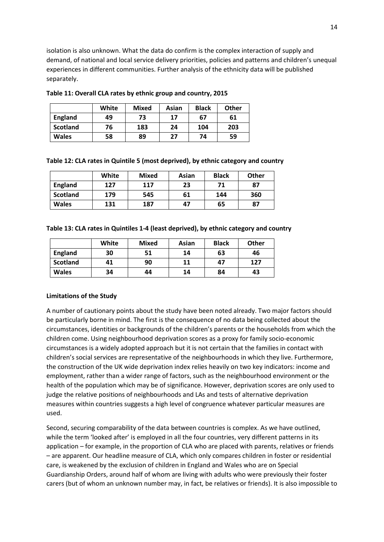isolation is also unknown. What the data do confirm is the complex interaction of supply and demand, of national and local service delivery priorities, policies and patterns and children's unequal experiences in different communities. Further analysis of the ethnicity data will be published separately.

|                 | White | <b>Mixed</b> | Asian | <b>Black</b> | <b>Other</b> |
|-----------------|-------|--------------|-------|--------------|--------------|
| <b>England</b>  | 49    | 73           | 17    | 67           | 61           |
| <b>Scotland</b> | 76    | 183          | 24    | 104          | 203          |
| <b>Wales</b>    | 58    | 89           | 27    | 74           | 59           |

**Table 11: Overall CLA rates by ethnic group and country, 2015** 

|  | Table 12: CLA rates in Quintile 5 (most deprived), by ethnic category and country |  |  |  |  |
|--|-----------------------------------------------------------------------------------|--|--|--|--|
|--|-----------------------------------------------------------------------------------|--|--|--|--|

|                 | White | <b>Mixed</b> | Asian | <b>Black</b> | <b>Other</b> |
|-----------------|-------|--------------|-------|--------------|--------------|
| England         | 127   | 117          | 23    | 71           | 87           |
| <b>Scotland</b> | 179   | 545          | 61    | 144          | 360          |
| <b>Wales</b>    | 131   | 187          | 47    | 65           | 87           |

**Table 13: CLA rates in Quintiles 1-4 (least deprived), by ethnic category and country** 

|                 | White | <b>Mixed</b> | Asian | <b>Black</b> | <b>Other</b> |
|-----------------|-------|--------------|-------|--------------|--------------|
| <b>England</b>  | 30    | 51           | 14    | 63           | 46           |
| <b>Scotland</b> | 41    | 90           | 11    | 47           | 127          |
| <b>Wales</b>    | 34    | 44           | 14    | 84           | 43           |

#### **Limitations of the Study**

A number of cautionary points about the study have been noted already. Two major factors should be particularly borne in mind. The first is the consequence of no data being collected about the circumstances, identities or backgrounds of the children's parents or the households from which the children come. Using neighbourhood deprivation scores as a proxy for family socio-economic circumstances is a widely adopted approach but it is not certain that the families in contact with children's social services are representative of the neighbourhoods in which they live. Furthermore, the construction of the UK wide deprivation index relies heavily on two key indicators: income and employment, rather than a wider range of factors, such as the neighbourhood environment or the health of the population which may be of significance. However, deprivation scores are only used to judge the relative positions of neighbourhoods and LAs and tests of alternative deprivation measures within countries suggests a high level of congruence whatever particular measures are used.

Second, securing comparability of the data between countries is complex. As we have outlined, while the term 'looked after' is employed in all the four countries, very different patterns in its application – for example, in the proportion of CLA who are placed with parents, relatives or friends – are apparent. Our headline measure of CLA, which only compares children in foster or residential care, is weakened by the exclusion of children in England and Wales who are on Special Guardianship Orders, around half of whom are living with adults who were previously their foster carers (but of whom an unknown number may, in fact, be relatives or friends). It is also impossible to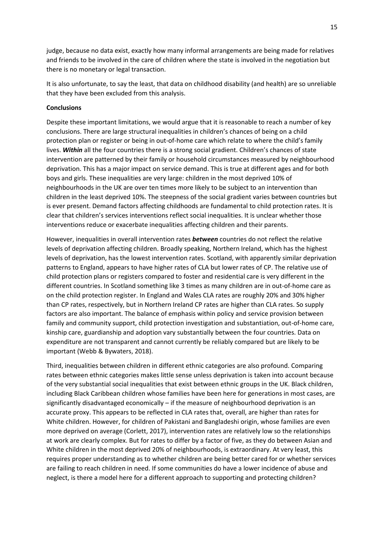judge, because no data exist, exactly how many informal arrangements are being made for relatives and friends to be involved in the care of children where the state is involved in the negotiation but there is no monetary or legal transaction.

It is also unfortunate, to say the least, that data on childhood disability (and health) are so unreliable that they have been excluded from this analysis.

### **Conclusions**

Despite these important limitations, we would argue that it is reasonable to reach a number of key conclusions. There are large structural inequalities in children's chances of being on a child protection plan or register or being in out-of-home care which relate to where the child's family lives. *Within* all the four countries there is a strong social gradient. Children's chances of state intervention are patterned by their family or household circumstances measured by neighbourhood deprivation. This has a major impact on service demand. This is true at different ages and for both boys and girls. These inequalities are very large: children in the most deprived 10% of neighbourhoods in the UK are over ten times more likely to be subject to an intervention than children in the least deprived 10%. The steepness of the social gradient varies between countries but is ever present. Demand factors affecting childhoods are fundamental to child protection rates. It is clear that children's services interventions reflect social inequalities. It is unclear whether those interventions reduce or exacerbate inequalities affecting children and their parents.

However, inequalities in overall intervention rates *between* countries do not reflect the relative levels of deprivation affecting children. Broadly speaking, Northern Ireland, which has the highest levels of deprivation, has the lowest intervention rates. Scotland, with apparently similar deprivation patterns to England, appears to have higher rates of CLA but lower rates of CP. The relative use of child protection plans or registers compared to foster and residential care is very different in the different countries. In Scotland something like 3 times as many children are in out-of-home care as on the child protection register. In England and Wales CLA rates are roughly 20% and 30% higher than CP rates, respectively, but in Northern Ireland CP rates are higher than CLA rates. So supply factors are also important. The balance of emphasis within policy and service provision between family and community support, child protection investigation and substantiation, out-of-home care, kinship care, guardianship and adoption vary substantially between the four countries. Data on expenditure are not transparent and cannot currently be reliably compared but are likely to be important (Webb & Bywaters, 2018).

Third, inequalities between children in different ethnic categories are also profound. Comparing rates between ethnic categories makes little sense unless deprivation is taken into account because of the very substantial social inequalities that exist between ethnic groups in the UK. Black children, including Black Caribbean children whose families have been here for generations in most cases, are significantly disadvantaged economically – if the measure of neighbourhood deprivation is an accurate proxy. This appears to be reflected in CLA rates that, overall, are higher than rates for White children. However, for children of Pakistani and Bangladeshi origin, whose families are even more deprived on average (Corlett, 2017), intervention rates are relatively low so the relationships at work are clearly complex. But for rates to differ by a factor of five, as they do between Asian and White children in the most deprived 20% of neighbourhoods, is extraordinary. At very least, this requires proper understanding as to whether children are being better cared for or whether services are failing to reach children in need. If some communities do have a lower incidence of abuse and neglect, is there a model here for a different approach to supporting and protecting children?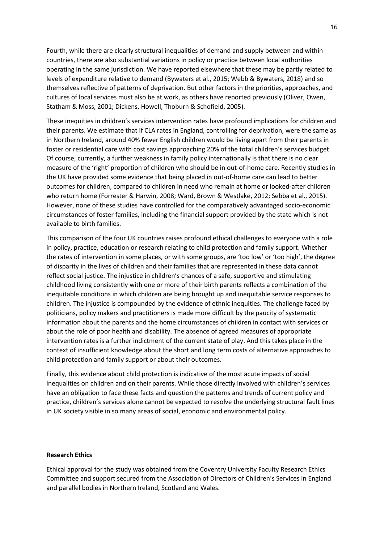Fourth, while there are clearly structural inequalities of demand and supply between and within countries, there are also substantial variations in policy or practice between local authorities operating in the same jurisdiction. We have reported elsewhere that these may be partly related to levels of expenditure relative to demand (Bywaters et al., 2015; Webb & Bywaters, 2018) and so themselves reflective of patterns of deprivation. But other factors in the priorities, approaches, and cultures of local services must also be at work, as others have reported previously (Oliver, Owen, Statham & Moss, 2001; Dickens, Howell, Thoburn & Schofield, 2005).

These inequities in children's services intervention rates have profound implications for children and their parents. We estimate that if CLA rates in England, controlling for deprivation, were the same as in Northern Ireland, around 40% fewer English children would be living apart from their parents in foster or residential care with cost savings approaching 20% of the total children's services budget. Of course, currently, a further weakness in family policy internationally is that there is no clear measure of the 'right' proportion of children who should be in out-of-home care. Recently studies in the UK have provided some evidence that being placed in out-of-home care can lead to better outcomes for children, compared to children in need who remain at home or looked-after children who return home (Forrester & Harwin, 2008; Ward, Brown & Westlake, 2012; Sebba et al., 2015). However, none of these studies have controlled for the comparatively advantaged socio-economic circumstances of foster families, including the financial support provided by the state which is not available to birth families.

This comparison of the four UK countries raises profound ethical challenges to everyone with a role in policy, practice, education or research relating to child protection and family support. Whether the rates of intervention in some places, or with some groups, are 'too low' or 'too high', the degree of disparity in the lives of children and their families that are represented in these data cannot reflect social justice. The injustice in children's chances of a safe, supportive and stimulating childhood living consistently with one or more of their birth parents reflects a combination of the inequitable conditions in which children are being brought up and inequitable service responses to children. The injustice is compounded by the evidence of ethnic inequities. The challenge faced by politicians, policy makers and practitioners is made more difficult by the paucity of systematic information about the parents and the home circumstances of children in contact with services or about the role of poor health and disability. The absence of agreed measures of appropriate intervention rates is a further indictment of the current state of play. And this takes place in the context of insufficient knowledge about the short and long term costs of alternative approaches to child protection and family support or about their outcomes.

Finally, this evidence about child protection is indicative of the most acute impacts of social inequalities on children and on their parents. While those directly involved with children's services have an obligation to face these facts and question the patterns and trends of current policy and practice, children's services alone cannot be expected to resolve the underlying structural fault lines in UK society visible in so many areas of social, economic and environmental policy.

#### **Research Ethics**

Ethical approval for the study was obtained from the Coventry University Faculty Research Ethics Committee and support secured from the Association of Directors of Children's Services in England and parallel bodies in Northern Ireland, Scotland and Wales.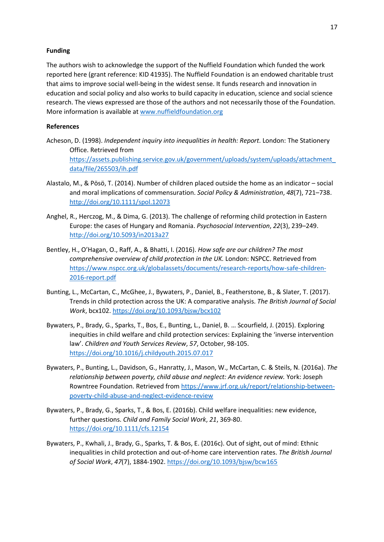# **Funding**

The authors wish to acknowledge the support of the Nuffield Foundation which funded the work reported here (grant reference: KID 41935). The Nuffield Foundation is an endowed charitable trust that aims to improve social well-being in the widest sense. It funds research and innovation in education and social policy and also works to build capacity in education, science and social science research. The views expressed are those of the authors and not necessarily those of the Foundation. More information is available at [www.nuffieldfoundation.org](http://www.nuffieldfoundation.org/) 

# **References**

- Acheson, D. (1998). *Independent inquiry into inequalities in health: Report*. London: The Stationery Office. Retrieved from [https://assets.publishing.service.gov.uk/government/uploads/system/uploads/attachment\\_](https://assets.publishing.service.gov.uk/government/uploads/system/uploads/attachment_data/file/265503/ih.pdf) [data/file/265503/ih.pdf](https://assets.publishing.service.gov.uk/government/uploads/system/uploads/attachment_data/file/265503/ih.pdf)
- Alastalo, M., & Pösö, T. (2014). Number of children placed outside the home as an indicator social and moral implications of commensuration. *Social Policy & Administration*, *48*(7), 721–738. <http://doi.org/10.1111/spol.12073>
- Anghel, R., Herczog, M., & Dima, G. (2013). The challenge of reforming child protection in Eastern Europe: the cases of Hungary and Romania. *Psychosocial Intervention*, *22*(3), 239–249. <http://doi.org/10.5093/in2013a27>
- Bentley, H., O'Hagan, O., Raff, A., & Bhatti, I. (2016). *How safe are our children? The most comprehensive overview of child protection in the UK.* London: NSPCC. Retrieved from [https://www.nspcc.org.uk/globalassets/documents/research-reports/how-safe-children-](https://www.nspcc.org.uk/globalassets/documents/research-reports/how-safe-children-2016-report.pdf)[2016-report.pdf](https://www.nspcc.org.uk/globalassets/documents/research-reports/how-safe-children-2016-report.pdf)
- Bunting, L., McCartan, C., McGhee, J., Bywaters, P., Daniel, B., Featherstone, B., & Slater, T. (2017). Trends in child protection across the UK: A comparative analysis. *The British Journal of Social Work*, bcx102[. https://doi.org/10.1093/bjsw/bcx102](https://doi.org/10.1093/bjsw/bcx102)
- Bywaters, P., Brady, G., Sparks, T., Bos, E., Bunting, L., Daniel, B. … Scourfield, J. (2015). Exploring inequities in child welfare and child protection services: Explaining the 'inverse intervention law'. *Children and Youth Services Review*, *57*, October, 98-105. <https://doi.org/10.1016/j.childyouth.2015.07.017>
- Bywaters, P., Bunting, L., Davidson, G., Hanratty, J., Mason, W., McCartan, C. & Steils, N. (2016a). *The relationship between poverty, child abuse and neglect: An evidence review.* York: Joseph Rowntree Foundation. Retrieved from [https://www.jrf.org.uk/report/relationship-between](https://www.jrf.org.uk/report/relationship-between-poverty-child-abuse-and-neglect-evidence-review)[poverty-child-abuse-and-neglect-evidence-review](https://www.jrf.org.uk/report/relationship-between-poverty-child-abuse-and-neglect-evidence-review)
- Bywaters, P., Brady, G., Sparks, T., & Bos, E. (2016b). Child welfare inequalities: new evidence, further questions. *Child and Family Social Work*, *21*, 369-80. <https://doi.org/10.1111/cfs.12154>
- Bywaters, P., Kwhali, J., Brady, G., Sparks, T. & Bos, E. (2016c). Out of sight, out of mind: Ethnic inequalities in child protection and out-of-home care intervention rates. *The British Journal of Social Work*, *47*(7), 1884-1902.<https://doi.org/10.1093/bjsw/bcw165>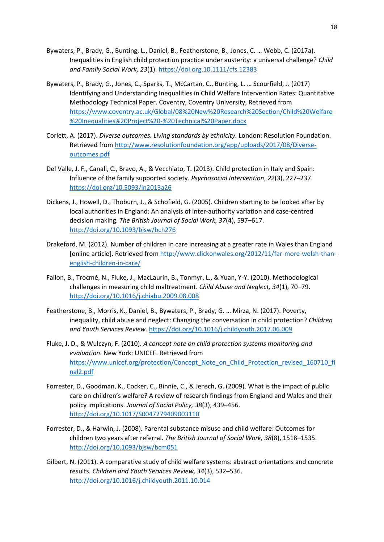- Bywaters, P., Brady, G., Bunting, L., Daniel, B., Featherstone, B., Jones, C. … Webb, C. (2017a). Inequalities in English child protection practice under austerity: a universal challenge? *Child and Family Social Work, 23*(1).<https://doi.org.10.1111/cfs.12383>
- Bywaters, P., Brady, G., Jones, C., Sparks, T., McCartan, C., Bunting, L. … Scourfield, J. (2017) Identifying and Understanding Inequalities in Child Welfare Intervention Rates: Quantitative Methodology Technical Paper. Coventry, Coventry University, Retrieved from [https://www.coventry.ac.uk/Global/08%20New%20Research%20Section/Child%20Welfare](https://www.coventry.ac.uk/Global/08%20New%20Research%20Section/Child%20Welfare%20Inequalities%20Project%20-%20Technical%20Paper.docx) [%20Inequalities%20Project%20-%20Technical%20Paper.docx](https://www.coventry.ac.uk/Global/08%20New%20Research%20Section/Child%20Welfare%20Inequalities%20Project%20-%20Technical%20Paper.docx)
- Corlett, A. (2017). *Diverse outcomes. Living standards by ethnicity.* London: Resolution Foundation. Retrieved from [http://www.resolutionfoundation.org/app/uploads/2017/08/Diverse](http://www.resolutionfoundation.org/app/uploads/2017/08/Diverse-outcomes.pdf)[outcomes.pdf](http://www.resolutionfoundation.org/app/uploads/2017/08/Diverse-outcomes.pdf)
- Del Valle, J. F., Canali, C., Bravo, A., & Vecchiato, T. (2013). Child protection in Italy and Spain: Influence of the family supported society. *Psychosocial Intervention*, *22*(3), 227–237. <https://doi.org/10.5093/in2013a26>
- Dickens, J., Howell, D., Thoburn, J., & Schofield, G. (2005). Children starting to be looked after by local authorities in England: An analysis of inter-authority variation and case-centred decision making. *The British Journal of Social Work, 37*(4), 597–617. <http://doi.org/10.1093/bjsw/bch276>
- Drakeford, M. (2012). Number of children in care increasing at a greater rate in Wales than England [online article]. Retrieved from [http://www.clickonwales.org/2012/11/far-more-welsh-than](http://www.clickonwales.org/2012/11/far-more-welsh-than-english-children-in-care/)[english-children-in-care/](http://www.clickonwales.org/2012/11/far-more-welsh-than-english-children-in-care/)
- Fallon, B., Trocmé, N., Fluke, J., MacLaurin, B., Tonmyr, L., & Yuan, Y-Y. (2010). Methodological challenges in measuring child maltreatment. *Child Abuse and Neglect, 34*(1), 70–79. <http://doi.org/10.1016/j.chiabu.2009.08.008>
- Featherstone, B., Morris, K., Daniel, B., Bywaters, P., Brady, G. … Mirza, N. (2017). Poverty, inequality, child abuse and neglect: Changing the conversation in child protection? *Children and Youth Services Review.* <https://doi.org/10.1016/j.childyouth.2017.06.009>
- Fluke, J. D., & Wulczyn, F. (2010). *A concept note on child protection systems monitoring and evaluation*. New York: UNICEF. Retrieved from [https://www.unicef.org/protection/Concept\\_Note\\_on\\_Child\\_Protection\\_revised\\_160710\\_fi](https://www.unicef.org/protection/Concept_Note_on_Child_Protection_revised_160710_final2.pdf) [nal2.pdf](https://www.unicef.org/protection/Concept_Note_on_Child_Protection_revised_160710_final2.pdf)
- Forrester, D., Goodman, K., Cocker, C., Binnie, C., & Jensch, G. (2009). What is the impact of public care on children's welfare? A review of research findings from England and Wales and their policy implications. *Journal of Social Policy, 38*(3), 439–456. <http://doi.org/10.1017/S0047279409003110>
- Forrester, D., & Harwin, J. (2008). Parental substance misuse and child welfare: Outcomes for children two years after referral. *The British Journal of Social Work, 38*(8), 1518–1535. <http://doi.org/10.1093/bjsw/bcm051>
- Gilbert, N. (2011). A comparative study of child welfare systems: abstract orientations and concrete results. *Children and Youth Services Review, 34*(3), 532–536. <http://doi.org/10.1016/j.childyouth.2011.10.014>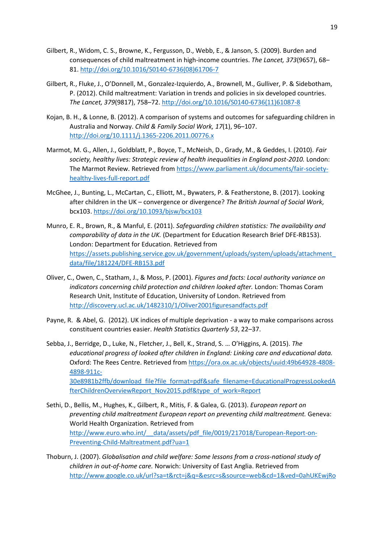- Gilbert, R., Widom, C. S., Browne, K., Fergusson, D., Webb, E., & Janson, S. (2009). Burden and consequences of child maltreatment in high-income countries. *The Lancet, 373*(9657), 68– 81[. http://doi.org/10.1016/S0140-6736\(08\)61706-7](http://doi.org/10.1016/S0140-6736(08)61706-7)
- Gilbert, R., Fluke, J., O'Donnell, M., Gonzalez-Izquierdo, A., Brownell, M., Gulliver, P. & Sidebotham, P. (2012). Child maltreatment: Variation in trends and policies in six developed countries. *The Lancet, 379*(9817), 758–72. [http://doi.org/10.1016/S0140-6736\(11\)61087-8](http://doi.org/10.1016/S0140-6736(11)61087-8)
- Kojan, B. H., & Lonne, B. (2012). A comparison of systems and outcomes for safeguarding children in Australia and Norway. *Child & Family Social Work, 17*(1), 96–107. <http://doi.org/10.1111/j.1365-2206.2011.00776.x>
- Marmot, M. G., Allen, J., Goldblatt, P., Boyce, T., McNeish, D., Grady, M., & Geddes, I. (2010). *Fair society, healthy lives: Strategic review of health inequalities in England post-2010.* London: The Marmot Review. Retrieved from [https://www.parliament.uk/documents/fair-society](https://www.parliament.uk/documents/fair-society-healthy-lives-full-report.pdf)[healthy-lives-full-report.pdf](https://www.parliament.uk/documents/fair-society-healthy-lives-full-report.pdf)
- McGhee, J., Bunting, L., McCartan, C., Elliott, M., Bywaters, P. & Featherstone, B. (2017). Looking after children in the UK – convergence or divergence? *The British Journal of Social Work*, bcx103.<https://doi.org/10.1093/bjsw/bcx103>
- Munro, E. R., Brown, R., & Manful, E. (2011). *Safeguarding children statistics: The availability and comparability of data in the UK.* (Department for Education Research Brief DFE-RB153). London: Department for Education. Retrieved from [https://assets.publishing.service.gov.uk/government/uploads/system/uploads/attachment\\_](https://assets.publishing.service.gov.uk/government/uploads/system/uploads/attachment_data/file/181224/DFE-RB153.pdf) [data/file/181224/DFE-RB153.pdf](https://assets.publishing.service.gov.uk/government/uploads/system/uploads/attachment_data/file/181224/DFE-RB153.pdf)
- Oliver, C., Owen, C., Statham, J., & Moss, P. (2001). *Figures and facts: Local authority variance on indicators concerning child protection and children looked after.* London: Thomas Coram Research Unit, Institute of Education, University of London. Retrieved from <http://discovery.ucl.ac.uk/1482310/1/Oliver2001figuresandfacts.pdf>
- Payne, R. & Abel, G. (2012). UK indices of multiple deprivation a way to make comparisons across constituent countries easier. *Health Statistics Quarterly 53*, 22–37.
- Sebba, J., Berridge, D., Luke, N., Fletcher, J., Bell, K., Strand, S. … O'Higgins, A. (2015). *The educational progress of looked after children in England: Linking care and educational data.* Oxford: The Rees Centre. Retrieved from [https://ora.ox.ac.uk/objects/uuid:49b64928-4808-](https://ora.ox.ac.uk/objects/uuid:49b64928-4808-4898-911c-30e8981b2ffb/download_file?file_format=pdf&safe_filename=EducationalProgressLookedAfterChildrenOverviewReport_Nov2015.pdf&type_of_work=Report) [4898-911c-](https://ora.ox.ac.uk/objects/uuid:49b64928-4808-4898-911c-30e8981b2ffb/download_file?file_format=pdf&safe_filename=EducationalProgressLookedAfterChildrenOverviewReport_Nov2015.pdf&type_of_work=Report)[30e8981b2ffb/download\\_file?file\\_format=pdf&safe\\_filename=EducationalProgressLookedA](https://ora.ox.ac.uk/objects/uuid:49b64928-4808-4898-911c-30e8981b2ffb/download_file?file_format=pdf&safe_filename=EducationalProgressLookedAfterChildrenOverviewReport_Nov2015.pdf&type_of_work=Report) [fterChildrenOverviewReport\\_Nov2015.pdf&type\\_of\\_work=Report](https://ora.ox.ac.uk/objects/uuid:49b64928-4808-4898-911c-30e8981b2ffb/download_file?file_format=pdf&safe_filename=EducationalProgressLookedAfterChildrenOverviewReport_Nov2015.pdf&type_of_work=Report)
- Sethi, D., Bellis, M., Hughes, K., Gilbert, R., Mitis, F. & Galea, G. (2013). *European report on preventing child maltreatment European report on preventing child maltreatment.* Geneva: World Health Organization. Retrieved from http://www.euro.who.int/ data/assets/pdf file/0019/217018/European-Report-on-[Preventing-Child-Maltreatment.pdf?ua=1](http://www.euro.who.int/__data/assets/pdf_file/0019/217018/European-Report-on-Preventing-Child-Maltreatment.pdf?ua=1)
- Thoburn, J. (2007). *Globalisation and child welfare: Some lessons from a cross-national study of children in out-of-home care.* Norwich: University of East Anglia. Retrieved from [http://www.google.co.uk/url?sa=t&rct=j&q=&esrc=s&source=web&cd=1&ved=0ahUKEwjRo](http://www.google.co.uk/url?sa=t&rct=j&q=&esrc=s&source=web&cd=1&ved=0ahUKEwjRoc2Vv_bbAhUFdcAKHeKvANYQFggpMAA&url=http%3A%2F%2Fwww.crin.org%2Fen%2Fdocs%2FMonograph3.doc&usg=AOvVaw3OAfHSSVwXAsIGhOkfR_t7)